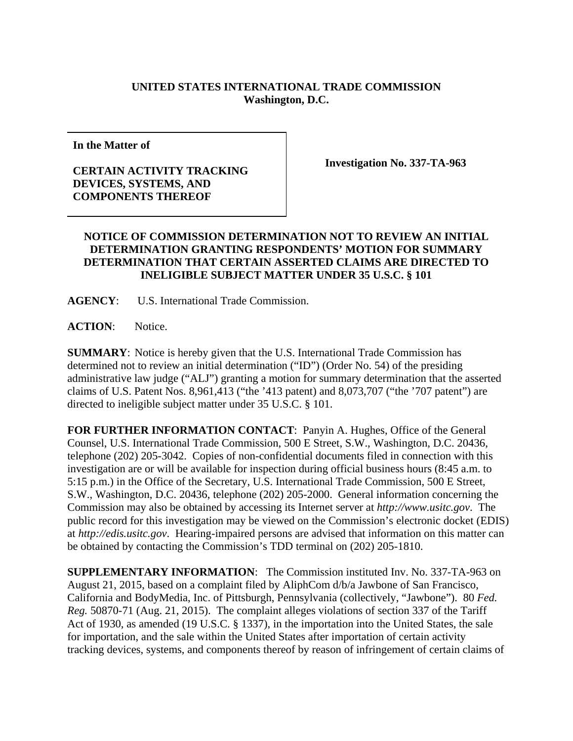## **UNITED STATES INTERNATIONAL TRADE COMMISSION Washington, D.C.**

**In the Matter of** 

## **CERTAIN ACTIVITY TRACKING DEVICES, SYSTEMS, AND COMPONENTS THEREOF**

**Investigation No. 337-TA-963** 

## **NOTICE OF COMMISSION DETERMINATION NOT TO REVIEW AN INITIAL DETERMINATION GRANTING RESPONDENTS' MOTION FOR SUMMARY DETERMINATION THAT CERTAIN ASSERTED CLAIMS ARE DIRECTED TO INELIGIBLE SUBJECT MATTER UNDER 35 U.S.C. § 101**

**AGENCY**: U.S. International Trade Commission.

**ACTION**: Notice.

**SUMMARY**: Notice is hereby given that the U.S. International Trade Commission has determined not to review an initial determination ("ID") (Order No. 54) of the presiding administrative law judge ("ALJ") granting a motion for summary determination that the asserted claims of U.S. Patent Nos. 8,961,413 ("the '413 patent) and 8,073,707 ("the '707 patent") are directed to ineligible subject matter under 35 U.S.C. § 101.

**FOR FURTHER INFORMATION CONTACT**: Panyin A. Hughes, Office of the General Counsel, U.S. International Trade Commission, 500 E Street, S.W., Washington, D.C. 20436, telephone (202) 205-3042. Copies of non-confidential documents filed in connection with this investigation are or will be available for inspection during official business hours (8:45 a.m. to 5:15 p.m.) in the Office of the Secretary, U.S. International Trade Commission, 500 E Street, S.W., Washington, D.C. 20436, telephone (202) 205-2000. General information concerning the Commission may also be obtained by accessing its Internet server at *http://www.usitc.gov*. The public record for this investigation may be viewed on the Commission's electronic docket (EDIS) at *http://edis.usitc.gov*. Hearing-impaired persons are advised that information on this matter can be obtained by contacting the Commission's TDD terminal on (202) 205-1810.

**SUPPLEMENTARY INFORMATION**: The Commission instituted Inv. No. 337-TA-963 on August 21, 2015, based on a complaint filed by AliphCom d/b/a Jawbone of San Francisco, California and BodyMedia, Inc. of Pittsburgh, Pennsylvania (collectively, "Jawbone"). 80 *Fed. Reg.* 50870-71 (Aug. 21, 2015). The complaint alleges violations of section 337 of the Tariff Act of 1930, as amended (19 U.S.C. § 1337), in the importation into the United States, the sale for importation, and the sale within the United States after importation of certain activity tracking devices, systems, and components thereof by reason of infringement of certain claims of